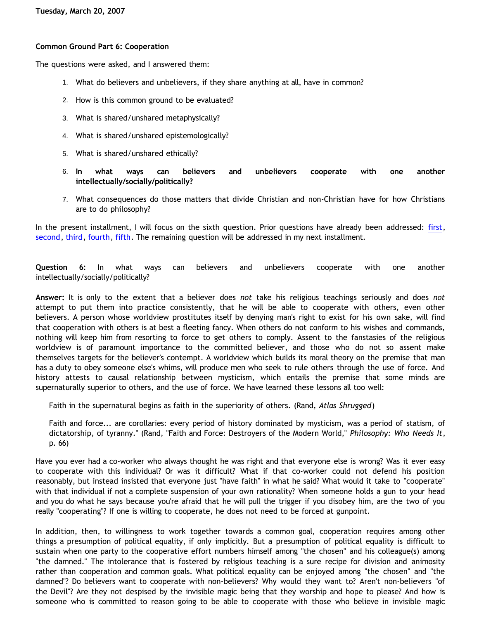## **Common Ground Part 6: Cooperation**

The questions were asked, and I answered them:

- 1. What do believers and unbelievers, if they share anything at all, have in common?
- 2. How is this common ground to be evaluated?
- 3. What is shared/unshared metaphysically?
- 4. What is shared/unshared epistemologically?
- 5. What is shared/unshared ethically?
- 6. **In what ways can believers and unbelievers cooperate with one another intellectually/socially/politically?**
- 7. What consequences do those matters that divide Christian and non-Christian have for how Christians are to do philosophy?

In the present installment, I will focus on the sixth question. Prior questions have already been addressed: [first](http://bahnsenburner.blogspot.com/2007/01/common-ground.html), [second,](http://bahnsenburner.blogspot.com/2007/03/common-ground-part-2-standard-of.html) [third](http://bahnsenburner.blogspot.com/2007/03/common-ground-part-3-metaphysics.html), [fourth](http://bahnsenburner.blogspot.com/2007/03/common-ground-part-4-epistemology.html), [fifth.](http://bahnsenburner.blogspot.com/2007/03/common-ground-part-5-ethics.html) The remaining question will be addressed in my next installment.

**Question 6:** In what ways can believers and unbelievers cooperate with one another intellectually/socially/politically?

**Answer:** It is only to the extent that a believer does *not* take his religious teachings seriously and does *not* attempt to put them into practice consistently, that he will be able to cooperate with others, even other believers. A person whose worldview prostitutes itself by denying man's right to exist for his own sake, will find that cooperation with others is at best a fleeting fancy. When others do not conform to his wishes and commands, nothing will keep him from resorting to force to get others to comply. Assent to the fanstasies of the religious worldview is of paramount importance to the committed believer, and those who do not so assent make themselves targets for the believer's contempt. A worldview which builds its moral theory on the premise that man has a duty to obey someone else's whims, will produce men who seek to rule others through the use of force. And history attests to causal relationship between mysticism, which entails the premise that some minds are supernaturally superior to others, and the use of force. We have learned these lessons all too well:

Faith in the supernatural begins as faith in the superiority of others. (Rand, *Atlas Shrugged*)

Faith and force... are corollaries: every period of history dominated by mysticism, was a period of statism, of dictatorship, of tyranny." (Rand, "Faith and Force: Destroyers of the Modern World," *Philosophy: Who Needs It*, p. 66)

Have you ever had a co-worker who always thought he was right and that everyone else is wrong? Was it ever easy to cooperate with this individual? Or was it difficult? What if that co-worker could not defend his position reasonably, but instead insisted that everyone just "have faith" in what he said? What would it take to "cooperate" with that individual if not a complete suspension of your own rationality? When someone holds a gun to your head and you do what he says because you're afraid that he will pull the trigger if you disobey him, are the two of you really "cooperating"? If one is willing to cooperate, he does not need to be forced at gunpoint.

In addition, then, to willingness to work together towards a common goal, cooperation requires among other things a presumption of political equality, if only implicitly. But a presumption of political equality is difficult to sustain when one party to the cooperative effort numbers himself among "the chosen" and his colleague(s) among "the damned." The intolerance that is fostered by religious teaching is a sure recipe for division and animosity rather than cooperation and common goals. What political equality can be enjoyed among "the chosen" and "the damned"? Do believers want to cooperate with non-believers? Why would they want to? Aren't non-believers "of the Devil"? Are they not despised by the invisible magic being that they worship and hope to please? And how is someone who is committed to reason going to be able to cooperate with those who believe in invisible magic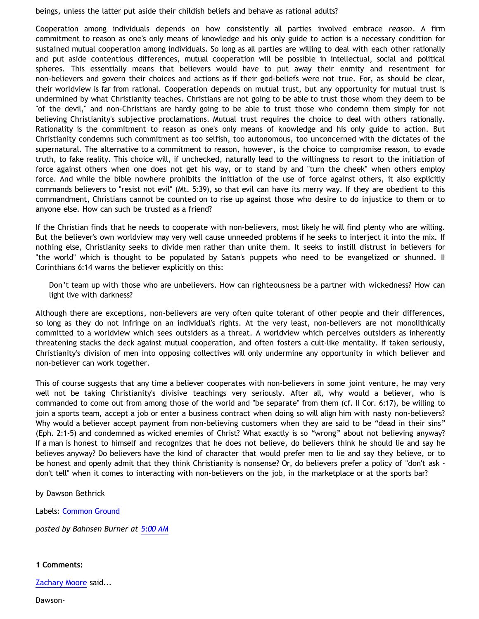beings, unless the latter put aside their childish beliefs and behave as rational adults?

Cooperation among individuals depends on how consistently all parties involved embrace *reason*. A firm commitment to reason as one's only means of knowledge and his only guide to action is a necessary condition for sustained mutual cooperation among individuals. So long as all parties are willing to deal with each other rationally and put aside contentious differences, mutual cooperation will be possible in intellectual, social and political spheres. This essentially means that believers would have to put away their enmity and resentment for non-believers and govern their choices and actions as if their god-beliefs were not true. For, as should be clear, their worldview is far from rational. Cooperation depends on mutual trust, but any opportunity for mutual trust is undermined by what Christianity teaches. Christians are not going to be able to trust those whom they deem to be "of the devil," and non-Christians are hardly going to be able to trust those who condemn them simply for not believing Christianity's subjective proclamations. Mutual trust requires the choice to deal with others rationally. Rationality is the commitment to reason as one's only means of knowledge and his only guide to action. But Christianity condemns such commitment as too selfish, too autonomous, too unconcerned with the dictates of the supernatural. The alternative to a commitment to reason, however, is the choice to compromise reason, to evade truth, to fake reality. This choice will, if unchecked, naturally lead to the willingness to resort to the initiation of force against others when one does not get his way, or to stand by and "turn the cheek" when others employ force. And while the bible nowhere prohibits the initiation of the use of force against others, it also explicitly commands believers to "resist not evil" (Mt. 5:39), so that evil can have its merry way. If they are obedient to this commandment, Christians cannot be counted on to rise up against those who desire to do injustice to them or to anyone else. How can such be trusted as a friend?

If the Christian finds that he needs to cooperate with non-believers, most likely he will find plenty who are willing. But the believer's own worldview may very well cause unneeded problems if he seeks to interject it into the mix. If nothing else, Christianity seeks to divide men rather than unite them. It seeks to instill distrust in believers for "the world" which is thought to be populated by Satan's puppets who need to be evangelized or shunned. II Corinthians 6:14 warns the believer explicitly on this:

Don't team up with those who are unbelievers. How can righteousness be a partner with wickedness? How can light live with darkness?

Although there are exceptions, non-believers are very often quite tolerant of other people and their differences, so long as they do not infringe on an individual's rights. At the very least, non-believers are not monolithically committed to a worldview which sees outsiders as a threat. A worldview which perceives outsiders as inherently threatening stacks the deck against mutual cooperation, and often fosters a cult-like mentality. If taken seriously, Christianity's division of men into opposing collectives will only undermine any opportunity in which believer and non-believer can work together.

This of course suggests that any time a believer cooperates with non-believers in some joint venture, he may very well not be taking Christianity's divisive teachings very seriously. After all, why would a believer, who is commanded to come out from among those of the world and "be separate" from them (cf. II Cor. 6:17), be willing to join a sports team, accept a job or enter a business contract when doing so will align him with nasty non-believers? Why would a believer accept payment from non-believing customers when they are said to be "dead in their sins" (Eph. 2:1-5) and condemned as wicked enemies of Christ? What exactly is so "wrong" about not believing anyway? If a man is honest to himself and recognizes that he does not believe, do believers think he should lie and say he believes anyway? Do believers have the kind of character that would prefer men to lie and say they believe, or to be honest and openly admit that they think Christianity is nonsense? Or, do believers prefer a policy of "don't ask don't tell" when it comes to interacting with non-believers on the job, in the marketplace or at the sports bar?

by Dawson Bethrick

Labels: [Common Ground](http://bahnsenburner.blogspot.com/search/label/Common%20Ground)

*posted by Bahnsen Burner at [5:00 AM](http://bahnsenburner.blogspot.com/2007/03/common-ground-part-6-cooperation.html)*

**1 Comments:**

[Zachary Moore](http://www.blogger.com/profile/16991061670470673718) said...

Dawson-